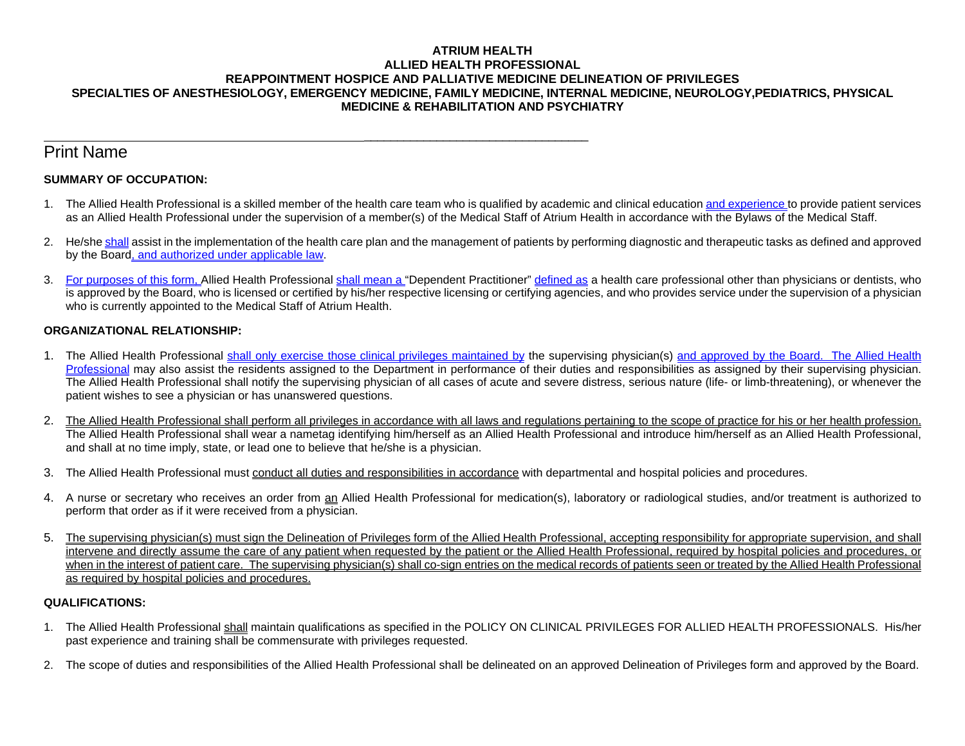#### **ATRIUM HEALTH ALLIED HEALTH PROFESSIONAL REAPPOINTMENT HOSPICE AND PALLIATIVE MEDICINE DELINEATION OF PRIVILEGES SPECIALTIES OF ANESTHESIOLOGY, EMERGENCY MEDICINE, FAMILY MEDICINE, INTERNAL MEDICINE, NEUROLOGY,PEDIATRICS, PHYSICAL MEDICINE & REHABILITATION AND PSYCHIATRY**

# Print Name

## **SUMMARY OF OCCUPATION:**

- 1. The Allied Health Professional is a skilled member of the health care team who is qualified by academic and clinical education and experience to provide patient services as an Allied Health Professional under the supervision of a member(s) of the Medical Staff of Atrium Health in accordance with the Bylaws of the Medical Staff.
- 2. He/she shall assist in the implementation of the health care plan and the management of patients by performing diagnostic and therapeutic tasks as defined and approved by the Board, and authorized under applicable law.
- 3. For purposes of this form, Allied Health Professional shall mean a "Dependent Practitioner" defined as a health care professional other than physicians or dentists, who is approved by the Board, who is licensed or certified by his/her respective licensing or certifying agencies, and who provides service under the supervision of a physician who is currently appointed to the Medical Staff of Atrium Health.

## **ORGANIZATIONAL RELATIONSHIP:**

- 1. The Allied Health Professional shall only exercise those clinical privileges maintained by the supervising physician(s) and approved by the Board. The Allied Health Professional may also assist the residents assigned to the Department in performance of their duties and responsibilities as assigned by their supervising physician. The Allied Health Professional shall notify the supervising physician of all cases of acute and severe distress, serious nature (life- or limb-threatening), or whenever the patient wishes to see a physician or has unanswered questions.
- 2. The Allied Health Professional shall perform all privileges in accordance with all laws and regulations pertaining to the scope of practice for his or her health profession. The Allied Health Professional shall wear a nametag identifying him/herself as an Allied Health Professional and introduce him/herself as an Allied Health Professional, and shall at no time imply, state, or lead one to believe that he/she is a physician.
- 3. The Allied Health Professional must conduct all duties and responsibilities in accordance with departmental and hospital policies and procedures.

 $\overline{\phantom{a}}$  , and the contract of the contract of the contract of the contract of the contract of the contract of the contract of the contract of the contract of the contract of the contract of the contract of the contrac

- 4. A nurse or secretary who receives an order from an Allied Health Professional for medication(s), laboratory or radiological studies, and/or treatment is authorized to perform that order as if it were received from a physician.
- 5. The supervising physician(s) must sign the Delineation of Privileges form of the Allied Health Professional, accepting responsibility for appropriate supervision, and shall intervene and directly assume the care of any patient when requested by the patient or the Allied Health Professional, required by hospital policies and procedures, or when in the interest of patient care. The supervising physician(s) shall co-sign entries on the medical records of patients seen or treated by the Allied Health Professional as required by hospital policies and procedures.

## **QUALIFICATIONS:**

- 1. The Allied Health Professional shall maintain qualifications as specified in the POLICY ON CLINICAL PRIVILEGES FOR ALLIED HEALTH PROFESSIONALS. His/her past experience and training shall be commensurate with privileges requested.
- 2. The scope of duties and responsibilities of the Allied Health Professional shall be delineated on an approved Delineation of Privileges form and approved by the Board.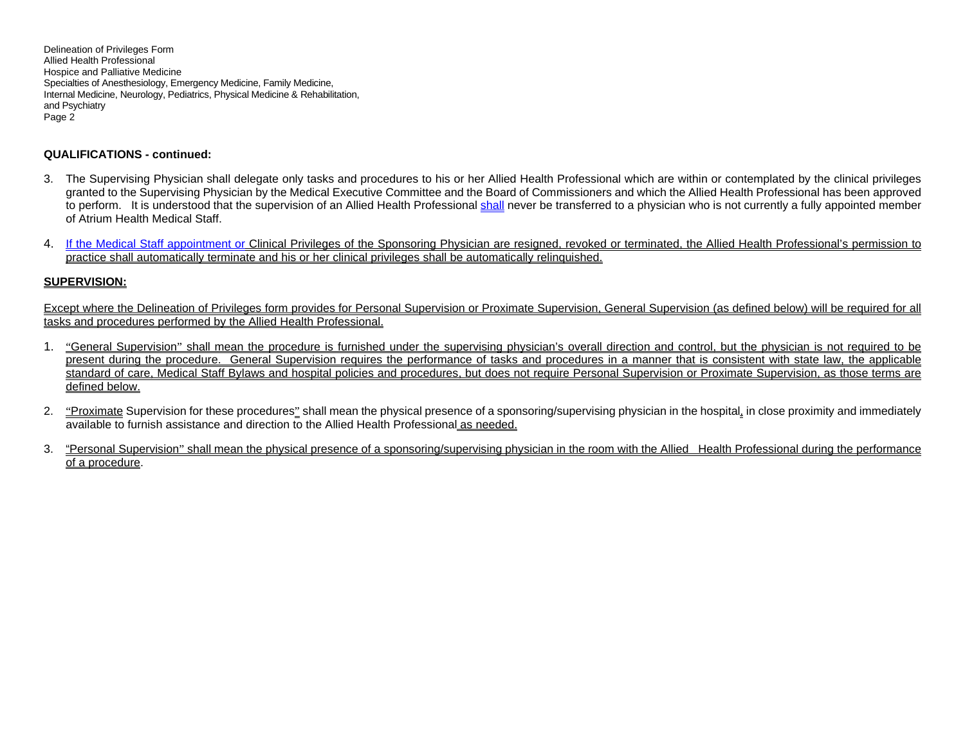Delineation of Privileges Form Allied Health Professional Hospice and Palliative Medicine Specialties of Anesthesiology, Emergency Medicine, Family Medicine, Internal Medicine, Neurology, Pediatrics, Physical Medicine & Rehabilitation, and Psychiatry Page 2

#### **QUALIFICATIONS - continued:**

- 3. The Supervising Physician shall delegate only tasks and procedures to his or her Allied Health Professional which are within or contemplated by the clinical privileges granted to the Supervising Physician by the Medical Executive Committee and the Board of Commissioners and which the Allied Health Professional has been approved to perform. It is understood that the supervision of an Allied Health Professional shall never be transferred to a physician who is not currently a fully appointed member of Atrium Health Medical Staff.
- 4. If the Medical Staff appointment or Clinical Privileges of the Sponsoring Physician are resigned, revoked or terminated, the Allied Health Professional's permission to practice shall automatically terminate and his or her clinical privileges shall be automatically relinquished.

#### **SUPERVISION:**

Except where the Delineation of Privileges form provides for Personal Supervision or Proximate Supervision, General Supervision (as defined below) will be required for all tasks and procedures performed by the Allied Health Professional.

- 1. "General Supervision" shall mean the procedure is furnished under the supervising physician's overall direction and control, but the physician is not required to be present during the procedure. General Supervision requires the performance of tasks and procedures in a manner that is consistent with state law, the applicable standard of care, Medical Staff Bylaws and hospital policies and procedures, but does not require Personal Supervision or Proximate Supervision, as those terms are defined below.
- 2. "Proximate Supervision for these procedures" shall mean the physical presence of a sponsoring/supervising physician in the hospital, in close proximity and immediately available to furnish assistance and direction to the Allied Health Professional as needed.
- 3. "Personal Supervision" shall mean the physical presence of a sponsoring/supervising physician in the room with the Allied Health Professional during the performance of a procedure.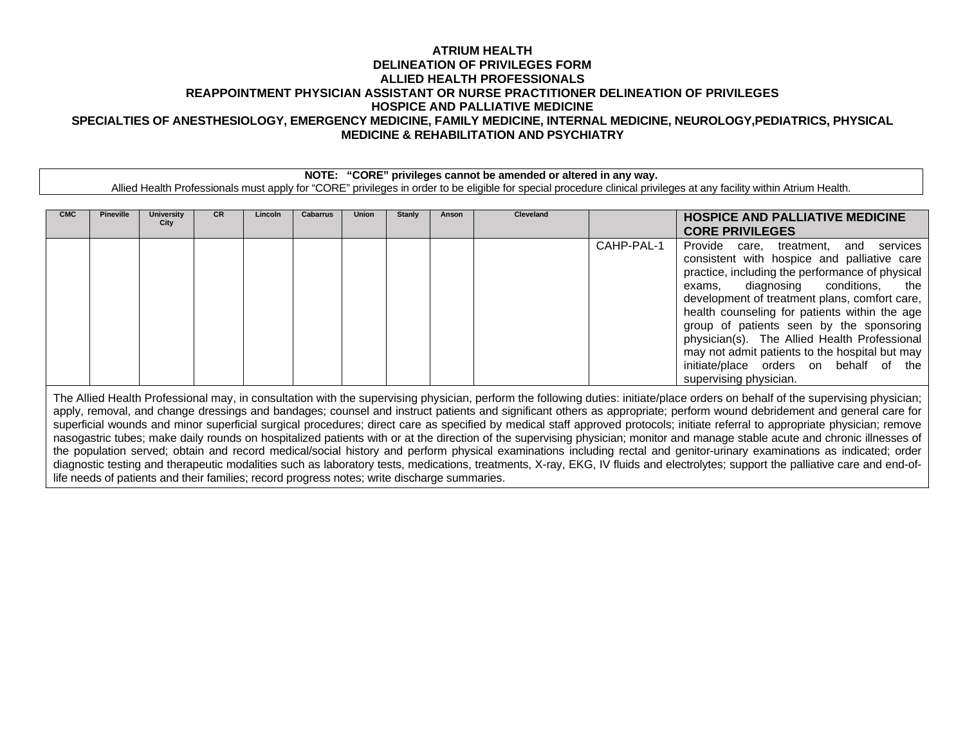## **ATRIUM HEALTH DELINEATION OF PRIVILEGES FORM ALLIED HEALTH PROFESSIONALS REAPPOINTMENT PHYSICIAN ASSISTANT OR NURSE PRACTITIONER DELINEATION OF PRIVILEGES HOSPICE AND PALLIATIVE MEDICINE SPECIALTIES OF ANESTHESIOLOGY, EMERGENCY MEDICINE, FAMILY MEDICINE, INTERNAL MEDICINE, NEUROLOGY,PEDIATRICS, PHYSICAL MEDICINE & REHABILITATION AND PSYCHIATRY**

**NOTE: "CORE" privileges cannot be amended or altered in any way.**

Allied Health Professionals must apply for "CORE" privileges in order to be eligible for special procedure clinical privileges at any facility within Atrium Health.

| <b>CMC</b>                                                                                                                                                                                                                                                                                                                                                | <b>Pineville</b> | University<br>City | CR. | Lincolr | Cabarrus | Union | <b>Stanly</b> | Anson | <b>Cleveland</b> |            | <b>HOSPICE AND PALLIATIVE MEDICINE</b><br><b>CORE PRIVILEGES</b>                                                                                                                                                                                                                                                                                                                                                                                                                                    |
|-----------------------------------------------------------------------------------------------------------------------------------------------------------------------------------------------------------------------------------------------------------------------------------------------------------------------------------------------------------|------------------|--------------------|-----|---------|----------|-------|---------------|-------|------------------|------------|-----------------------------------------------------------------------------------------------------------------------------------------------------------------------------------------------------------------------------------------------------------------------------------------------------------------------------------------------------------------------------------------------------------------------------------------------------------------------------------------------------|
|                                                                                                                                                                                                                                                                                                                                                           |                  |                    |     |         |          |       |               |       |                  | CAHP-PAL-1 | and services<br>Provide care, treatment,<br>consistent with hospice and palliative care<br>practice, including the performance of physical<br>exams, diagnosing conditions, the<br>development of treatment plans, comfort care,<br>health counseling for patients within the age<br>group of patients seen by the sponsoring<br>physician(s). The Allied Health Professional<br>may not admit patients to the hospital but may<br>initiate/place orders on behalf of the<br>supervising physician. |
| The Allied Health Professional may, in consultation with the supervising physician, perform the following duties: initiate/place orders on behalf of the supervising physician;<br>apply, removal, and change dressings and bandages; counsel and instruct patients and significant others as appropriate; perform wound debridement and general care for |                  |                    |     |         |          |       |               |       |                  |            |                                                                                                                                                                                                                                                                                                                                                                                                                                                                                                     |

superficial wounds and minor superficial surgical procedures; direct care as specified by medical staff approved protocols; initiate referral to appropriate physician; remove nasogastric tubes; make daily rounds on hospitalized patients with or at the direction of the supervising physician; monitor and manage stable acute and chronic illnesses of the population served; obtain and record medical/social history and perform physical examinations including rectal and genitor-urinary examinations as indicated; order diagnostic testing and therapeutic modalities such as laboratory tests, medications, treatments, X-ray, EKG, IV fluids and electrolytes; support the palliative care and end-oflife needs of patients and their families; record progress notes; write discharge summaries.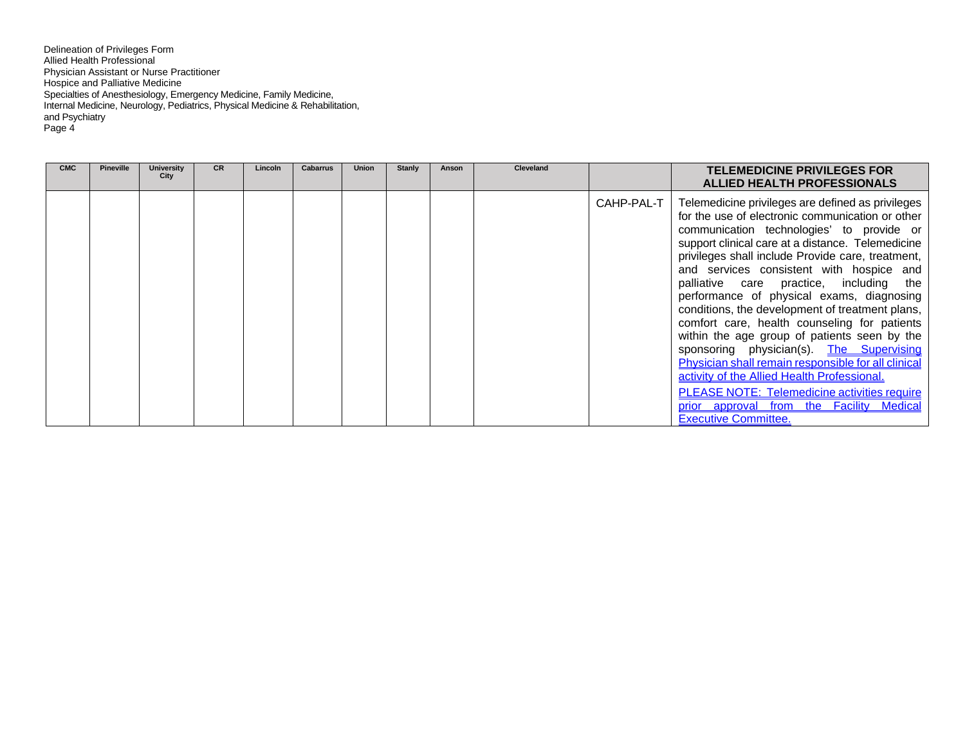Delineation of Privileges Form Allied Health Professional Physician Assistant or Nurse Practitioner Hospice and Palliative Medicine Specialties of Anesthesiology, Emergency Medicine, Family Medicine, Internal Medicine, Neurology, Pediatrics, Physical Medicine & Rehabilitation, and Psychiatry Page 4

| <b>CMC</b> | <b>Pineville</b> | <b>University</b><br>City | <b>CR</b> | Lincoln | Cabarrus | <b>Union</b> | Stanly | Anson | Cleveland |            | <b>TELEMEDICINE PRIVILEGES FOR</b><br>ALLIED HEALTH PROFESSIONALS                                                                                                                                                                                                                                                                                                                                                                                                                                                                                                                                                                                                                                                                                                                                                                       |
|------------|------------------|---------------------------|-----------|---------|----------|--------------|--------|-------|-----------|------------|-----------------------------------------------------------------------------------------------------------------------------------------------------------------------------------------------------------------------------------------------------------------------------------------------------------------------------------------------------------------------------------------------------------------------------------------------------------------------------------------------------------------------------------------------------------------------------------------------------------------------------------------------------------------------------------------------------------------------------------------------------------------------------------------------------------------------------------------|
|            |                  |                           |           |         |          |              |        |       |           | CAHP-PAL-T | Telemedicine privileges are defined as privileges<br>for the use of electronic communication or other<br>communication technologies' to provide or<br>support clinical care at a distance. Telemedicine<br>privileges shall include Provide care, treatment,<br>and services consistent with hospice and<br>palliative care practice, including the<br>performance of physical exams, diagnosing<br>conditions, the development of treatment plans,<br>comfort care, health counseling for patients<br>within the age group of patients seen by the<br>sponsoring physician(s). The Supervising<br>Physician shall remain responsible for all clinical<br>activity of the Allied Health Professional.<br><b>PLEASE NOTE: Telemedicine activities require</b><br>prior approval from the Facility Medical<br><b>Executive Committee.</b> |